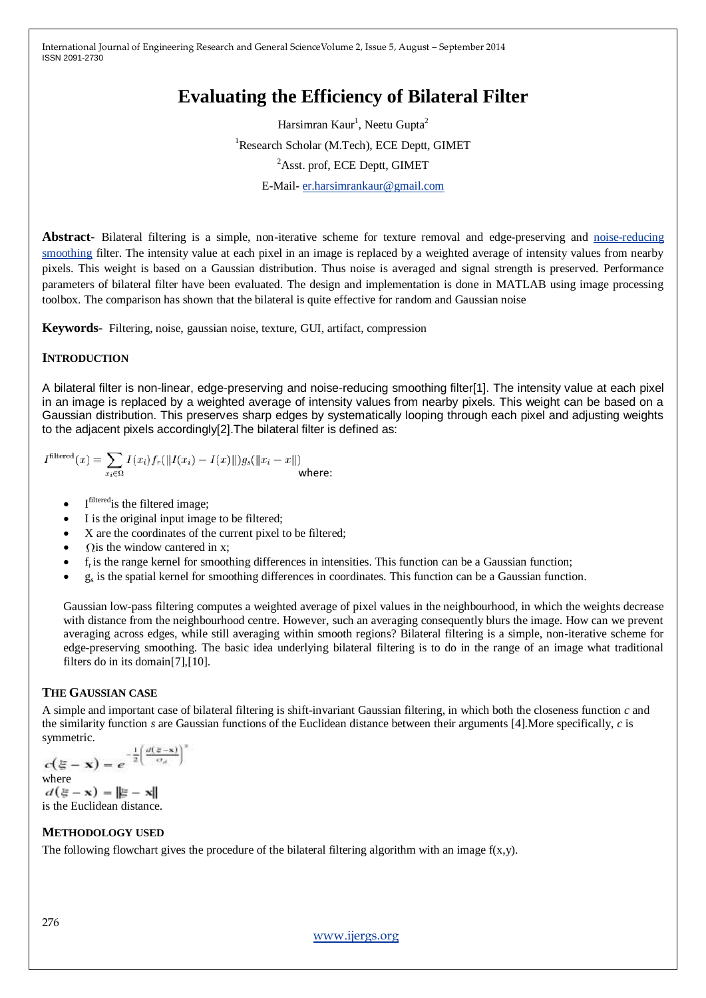# **Evaluating the Efficiency of Bilateral Filter**

Harsimran Kaur<sup>1</sup>, Neetu Gupta<sup>2</sup> <sup>1</sup>Research Scholar (M.Tech), ECE Deptt, GIMET <sup>2</sup>Asst. prof, ECE Deptt, GIMET E-Mail- [er.harsimrankaur@gmail.com](mailto:er.harsimrankaur@gmail.com)

**Abstract-** Bilateral filtering is a simple, non-iterative scheme for texture removal and edge-preserving and [noise-reducing](http://en.wikipedia.org/wiki/Noise_reduction) [smoothing](http://en.wikipedia.org/wiki/Smoothing) filter. The intensity value at each pixel in an image is replaced by a weighted average of intensity values from nearby pixels. This weight is based on a Gaussian distribution. Thus noise is averaged and signal strength is preserved. Performance parameters of bilateral filter have been evaluated. The design and implementation is done in MATLAB using image processing toolbox. The comparison has shown that the bilateral is quite effective for random and Gaussian noise

**Keywords-** Filtering, noise, gaussian noise, texture, GUI, artifact, compression

# **INTRODUCTION**

A bilateral filter is non-linear, edge-preserving and noise-reducing smoothing filter[1]. The intensity value at each pixel in an image is replaced by a weighted average of intensity values from nearby pixels. This weight can be based on a Gaussian distribution. This preserves sharp edges by systematically looping through each pixel and adjusting weights to the adjacent pixels accordingly[2].The bilateral filter is defined as:

$$
I^{\rm filtered}(x) = \sum_{x_i \in \Omega} I(x_i) f_r(||I(x_i) - I(x)||) g_s(||x_i - x||)
$$
 where:

- $\bullet$  I<sup>filtered</sup> is the filtered image;
- I is the original input image to be filtered;
- X are the coordinates of the current pixel to be filtered;
- $\Omega$  is the window cantered in x;
- $f_r$  is the range kernel for smoothing differences in intensities. This function can be a Gaussian function;
- g<sub>s</sub> is the spatial kernel for smoothing differences in coordinates. This function can be a Gaussian function.

Gaussian low-pass filtering computes a weighted average of pixel values in the neighbourhood, in which the weights decrease with distance from the neighbourhood centre. However, such an averaging consequently blurs the image. How can we prevent averaging across edges, while still averaging within smooth regions? Bilateral filtering is a simple, non-iterative scheme for edge-preserving smoothing. The basic idea underlying bilateral filtering is to do in the range of an image what traditional filters do in its domain[7],[10].

# **THE GAUSSIAN CASE**

A simple and important case of bilateral filtering is shift-invariant Gaussian filtering, in which both the closeness function *c* and the similarity function *s* are Gaussian functions of the Euclidean distance between their arguments [4].More specifically, *c* is symmetric.

$$
c(\xi - \mathbf{x}) = e^{-\frac{1}{2} \left(\frac{d(\xi - \mathbf{x})}{\sigma_d}\right)^2}
$$
  
where

 $d(\xi - x) = ||\xi - x||$ is the Euclidean distance.

# **METHODOLOGY USED**

The following flowchart gives the procedure of the bilateral filtering algorithm with an image  $f(x,y)$ .

[www.ijergs.org](http://www.ijergs.org/)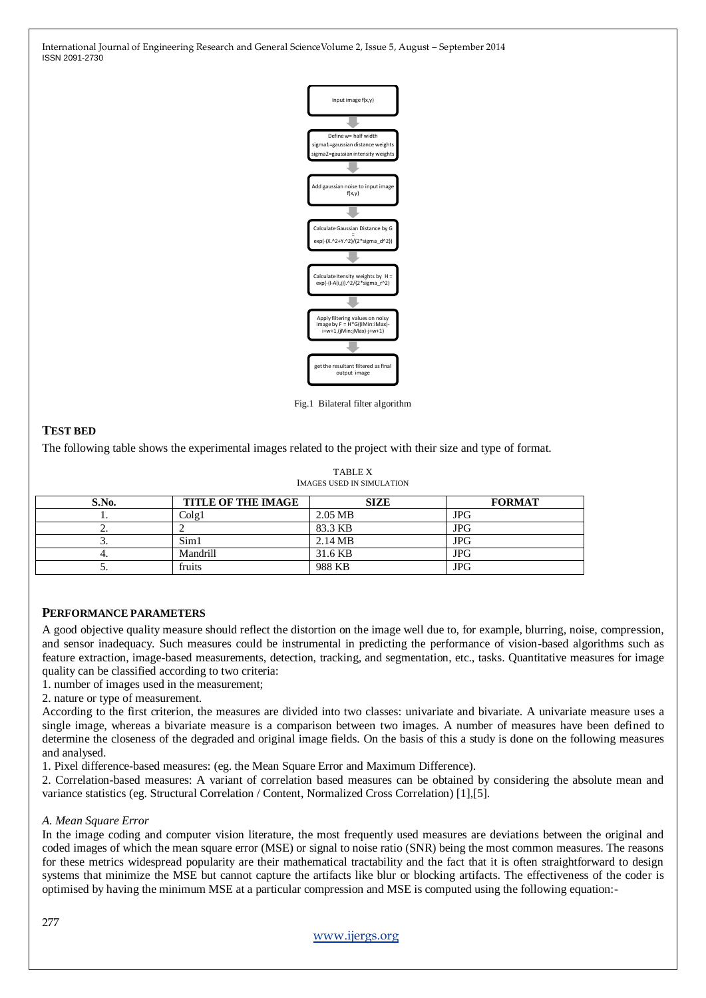

Fig.1 Bilateral filter algorithm

# **TEST BED**

The following table shows the experimental images related to the project with their size and type of format.

| <b>TABLE X</b>            |
|---------------------------|
| IMAGES USED IN SIMULATION |

| S.No. | <b>TITLE OF THE IMAGE</b> | <b>SIZE</b>       | <b>FORMAT</b> |
|-------|---------------------------|-------------------|---------------|
|       | Colg1                     | 2.05 MB           | <b>JPG</b>    |
| -     |                           | 83.3 KB           | JPG           |
|       | Sim1                      | $2.14 \text{ MB}$ | <b>JPG</b>    |
|       | Mandrill                  | 31.6 KB           | <b>JPG</b>    |
| J.    | fruits                    | 988 KB            | <b>JPG</b>    |

# **PERFORMANCE PARAMETERS**

A good objective quality measure should reflect the distortion on the image well due to, for example, blurring, noise, compression, and sensor inadequacy. Such measures could be instrumental in predicting the performance of vision-based algorithms such as feature extraction, image-based measurements, detection, tracking, and segmentation, etc., tasks. Quantitative measures for image quality can be classified according to two criteria:

1. number of images used in the measurement;

2. nature or type of measurement.

According to the first criterion, the measures are divided into two classes: univariate and bivariate. A univariate measure uses a single image, whereas a bivariate measure is a comparison between two images. A number of measures have been defined to determine the closeness of the degraded and original image fields. On the basis of this a study is done on the following measures and analysed.

1. Pixel difference-based measures: (eg. the Mean Square Error and Maximum Difference).

2. Correlation-based measures: A variant of correlation based measures can be obtained by considering the absolute mean and variance statistics (eg. Structural Correlation / Content, Normalized Cross Correlation) [1],[5].

# *A. Mean Square Error*

In the image coding and computer vision literature, the most frequently used measures are deviations between the original and coded images of which the mean square error (MSE) or signal to noise ratio (SNR) being the most common measures. The reasons for these metrics widespread popularity are their mathematical tractability and the fact that it is often straightforward to design systems that minimize the MSE but cannot capture the artifacts like blur or blocking artifacts. The effectiveness of the coder is optimised by having the minimum MSE at a particular compression and MSE is computed using the following equation:-

[www.ijergs.org](http://www.ijergs.org/)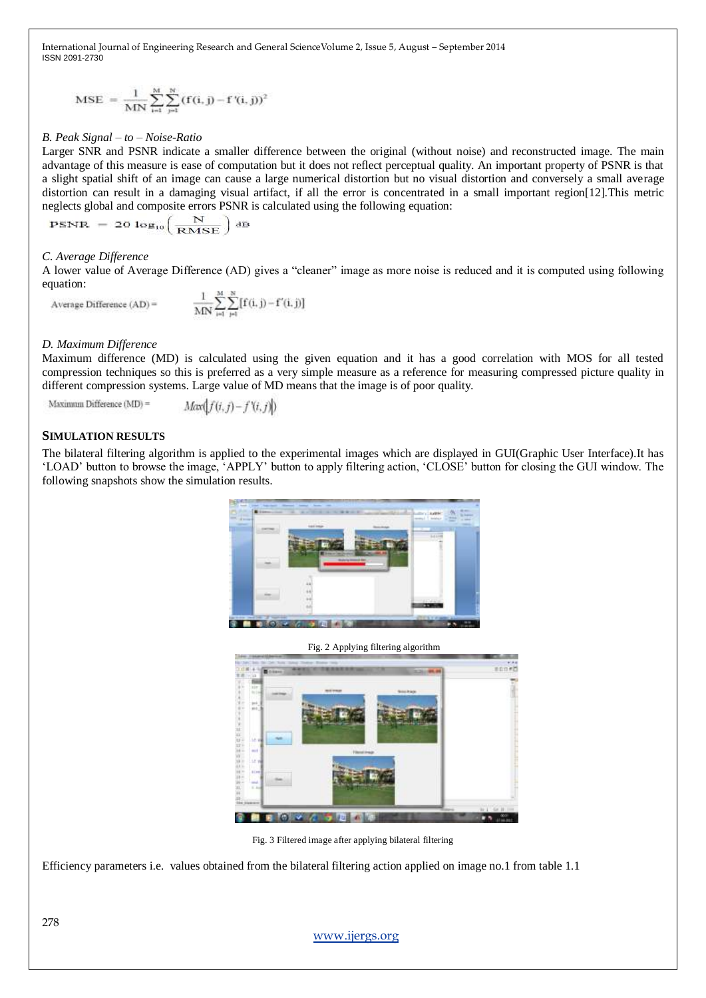$$
MSE \ = \ \frac{1}{MN} \sum_{i=1}^{M} \sum_{j=1}^{N} (f(i,j) - f^{\,\prime}(i,j))^2
$$

### *B. Peak Signal – to – Noise-Ratio*

Larger SNR and PSNR indicate a smaller difference between the original (without noise) and reconstructed image. The main advantage of this measure is ease of computation but it does not reflect perceptual quality. An important property of PSNR is that a slight spatial shift of an image can cause a large numerical distortion but no visual distortion and conversely a small average distortion can result in a damaging visual artifact, if all the error is concentrated in a small important region[12].This metric neglects global and composite errors PSNR is calculated using the following equation:

$$
PSNR = 20 \log_{10} \left( \frac{N}{RMSE} \right)
$$

#### *C. Average Difference*

A lower value of Average Difference (AD) gives a "cleaner" image as more noise is reduced and it is computed using following equation:

 $\frac{1}{MN}\sum_{i=1}^{M}\sum_{i=1}^{N} [f(i,j)-f'(i,j)]$ Average Difference (AD) =

#### *D. Maximum Difference*

Maximum difference (MD) is calculated using the given equation and it has a good correlation with MOS for all tested compression techniques so this is preferred as a very simple measure as a reference for measuring compressed picture quality in different compression systems. Large value of MD means that the image is of poor quality.

Maximum Difference (MD) =  $Max(f(i, j) - f'(i, j))$ 

#### **SIMULATION RESULTS**

The bilateral filtering algorithm is applied to the experimental images which are displayed in GUI(Graphic User Interface).It has 'LOAD' button to browse the image, 'APPLY' button to apply filtering action, 'CLOSE' button for closing the GUI window. The following snapshots show the simulation results.





Fig. 3 Filtered image after applying bilateral filtering

Efficiency parameters i.e. values obtained from the bilateral filtering action applied on image no.1 from table 1.1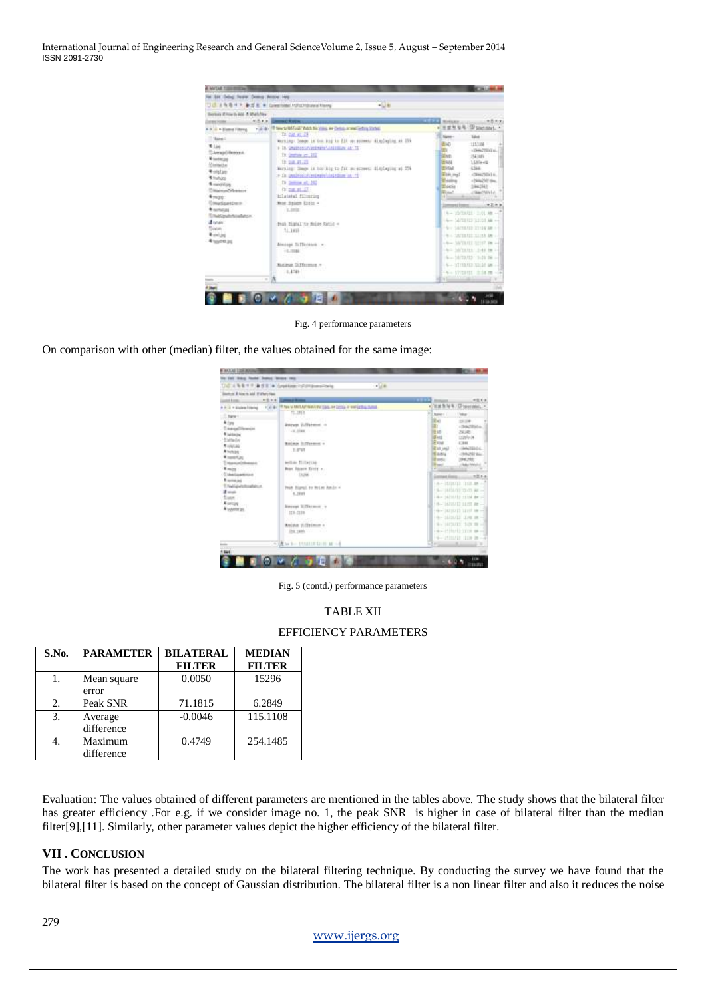

Fig. 4 performance parameters

On comparison with other (median) filter, the values obtained for the same image:

| Station & North AM, 31 Mary Has                                                                                                                                                                                                                                                                                    | $-1/8$                                                                                                                                                                                                                          |                                                                                                                                                                                                                                                                               |
|--------------------------------------------------------------------------------------------------------------------------------------------------------------------------------------------------------------------------------------------------------------------------------------------------------------------|---------------------------------------------------------------------------------------------------------------------------------------------------------------------------------------------------------------------------------|-------------------------------------------------------------------------------------------------------------------------------------------------------------------------------------------------------------------------------------------------------------------------------|
| 大気を生く<br><b>General Avenue</b>                                                                                                                                                                                                                                                                                     |                                                                                                                                                                                                                                 | 示白をま<br><b>THEFT</b>                                                                                                                                                                                                                                                          |
|                                                                                                                                                                                                                                                                                                                    | A P. 2 . Estealineig / 1 . 2 . 8   The UNIVERSITY COL P. LESS P WE LESS THE                                                                                                                                                     | THE R R F. (IP Seemed). -<br>$\blacksquare$                                                                                                                                                                                                                                   |
| 7.3001<br><b>Miller</b><br>11 Ave Audi Perent H.<br><b>Missouri</b><br>Estado<br>Worstag<br><b>N</b> butups:<br><b>W</b> hands fluid<br>This match to exist<br>Mostra 11<br><b>Unicapains</b><br><b>Remediate</b><br>1 Neil Greensbookers in<br>diam.<br>fissen : 1<br><b>Rental</b><br>N bubble 261<br><b>STY</b> | <b>PL.1811</b><br><u>nya<sub>katana</sub> i</u><br><b>Bytrem Editermine</b> in<br>Location Co., Chief<br>and and we can be constructed in the Sound<br>Riddays St.Termin =<br>1.1717<br>wom filtering<br>Moon Rockert Street, a | <b>Ballet L.</b><br>1.1984F<br><b>Bay</b><br>12.28<br>i (Bachbara)<br>ili ker<br>24345<br><b>FMI</b><br>1520v-Ja<br>Estua<br>4,2886<br>ville Mildel<br><b>GALIER</b><br>17 LEANING ALL<br><b>Hamis</b><br><b>Banda</b><br>THEME<br><b>Black</b><br>J.R&EMARC<br>Production of |
|                                                                                                                                                                                                                                                                                                                    | THE R. P. LEWIS CO., LANSING.<br>Heat Bigmail to Brize Autobs 4<br>4.3493<br>Berreyt Hiffermor o<br>119-1188                                                                                                                    | THE MINUTE THE REEL<br>Chair and art and the control of the<br>the Milliam student<br>(6-14/2012 21:53 ap -)<br>(4)-3810013 11107 No - 3<br>(b) 163013 (Dec at -                                                                                                              |
|                                                                                                                                                                                                                                                                                                                    | Raidok Siffrimor a<br><b>JELLIAN COMPANY</b><br>+ 请 br 3-10101212100 M -- 6                                                                                                                                                     | No. 317313. 1:20 ft =1<br>(s) - Pilaris Vita as - I<br>4- HOULD TO 20 - 4<br>Tellington Roberts & W                                                                                                                                                                           |

Fig. 5 (contd.) performance parameters

# TABLE XII

# EFFICIENCY PARAMETERS

| S.No. | <b>PARAMETER</b>      | <b>BILATERAL</b><br><b>FILTER</b> | <b>MEDIAN</b><br><b>FILTER</b> |
|-------|-----------------------|-----------------------------------|--------------------------------|
|       | Mean square<br>error  | 0.0050                            | 15296                          |
| 2.    | Peak SNR              | 71.1815                           | 6.2849                         |
| 3.    | Average<br>difference | $-0.0046$                         | 115.1108                       |
|       | Maximum<br>difference | 0.4749                            | 254.1485                       |

Evaluation: The values obtained of different parameters are mentioned in the tables above. The study shows that the bilateral filter has greater efficiency .For e.g. if we consider image no. 1, the peak SNR is higher in case of bilateral filter than the median filter[9],[11]. Similarly, other parameter values depict the higher efficiency of the bilateral filter.

# **VII . CONCLUSION**

The work has presented a detailed study on the bilateral filtering technique. By conducting the survey we have found that the bilateral filter is based on the concept of Gaussian distribution. The bilateral filter is a non linear filter and also it reduces the noise